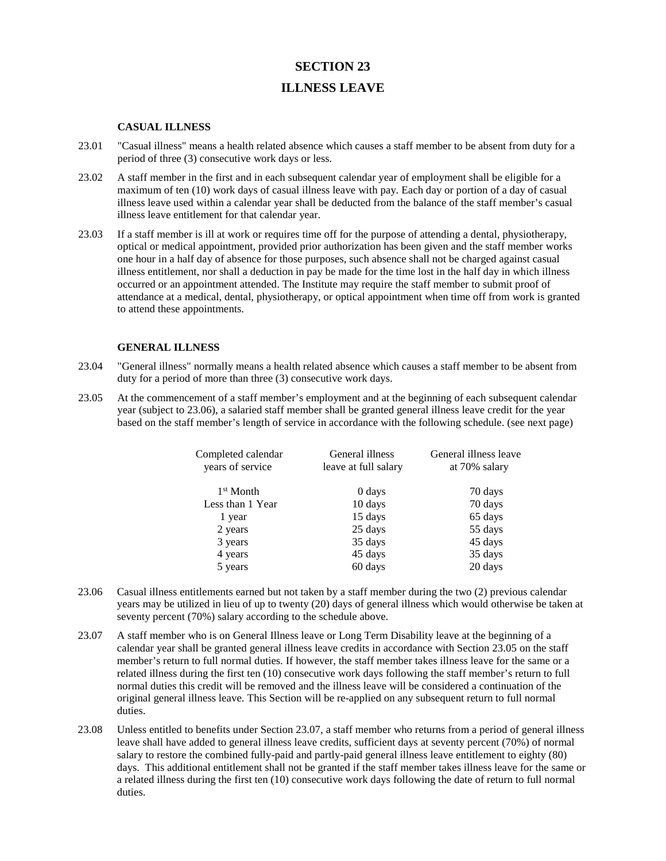## **SECTION 23 ILLNESS LEAVE**

## **CASUAL ILLNESS**

- 23.01 "Casual illness" means a health related absence which causes a staff member to be absent from duty for a period of three (3) consecutive work days or less.
- 23.02 A staff member in the first and in each subsequent calendar year of employment shall be eligible for a maximum of ten (10) work days of casual illness leave with pay. Each day or portion of a day of casual illness leave used within a calendar year shall be deducted from the balance of the staff member's casual illness leave entitlement for that calendar year.
- 23.03 If a staff member is ill at work or requires time off for the purpose of attending a dental, physiotherapy, optical or medical appointment, provided prior authorization has been given and the staff member works one hour in a half day of absence for those purposes, such absence shall not be charged against casual illness entitlement, nor shall a deduction in pay be made for the time lost in the half day in which illness occurred or an appointment attended. The Institute may require the staff member to submit proof of attendance at a medical, dental, physiotherapy, or optical appointment when time off from work is granted to attend these appointments.

## **GENERAL ILLNESS**

- 23.04 "General illness" normally means a health related absence which causes a staff member to be absent from duty for a period of more than three (3) consecutive work days.
- 23.05 At the commencement of a staff member's employment and at the beginning of each subsequent calendar year (subject to 23.06), a salaried staff member shall be granted general illness leave credit for the year based on the staff member's length of service in accordance with the following schedule. (see next page)

| Completed calendar<br>years of service | General illness<br>leave at full salary | General illness leave<br>at 70% salary |
|----------------------------------------|-----------------------------------------|----------------------------------------|
| $1st$ Month                            | 0 days                                  | 70 days                                |
| Less than 1 Year                       | 10 days                                 | 70 days                                |
| 1 year                                 | 15 days                                 | 65 days                                |
| 2 years                                | 25 days                                 | 55 days                                |
| 3 years                                | 35 days                                 | 45 days                                |
| 4 years                                | 45 days                                 | 35 days                                |
| 5 years                                | 60 days                                 | 20 days                                |

- 23.06 Casual illness entitlements earned but not taken by a staff member during the two (2) previous calendar years may be utilized in lieu of up to twenty (20) days of general illness which would otherwise be taken at seventy percent (70%) salary according to the schedule above.
- 23.07 A staff member who is on General Illness leave or Long Term Disability leave at the beginning of a calendar year shall be granted general illness leave credits in accordance with Section 23.05 on the staff member's return to full normal duties. If however, the staff member takes illness leave for the same or a related illness during the first ten (10) consecutive work days following the staff member's return to full normal duties this credit will be removed and the illness leave will be considered a continuation of the original general illness leave. This Section will be re-applied on any subsequent return to full normal duties.
- 23.08 Unless entitled to benefits under Section 23.07, a staff member who returns from a period of general illness leave shall have added to general illness leave credits, sufficient days at seventy percent (70%) of normal salary to restore the combined fully-paid and partly-paid general illness leave entitlement to eighty (80) days. This additional entitlement shall not be granted if the staff member takes illness leave for the same or a related illness during the first ten (10) consecutive work days following the date of return to full normal duties.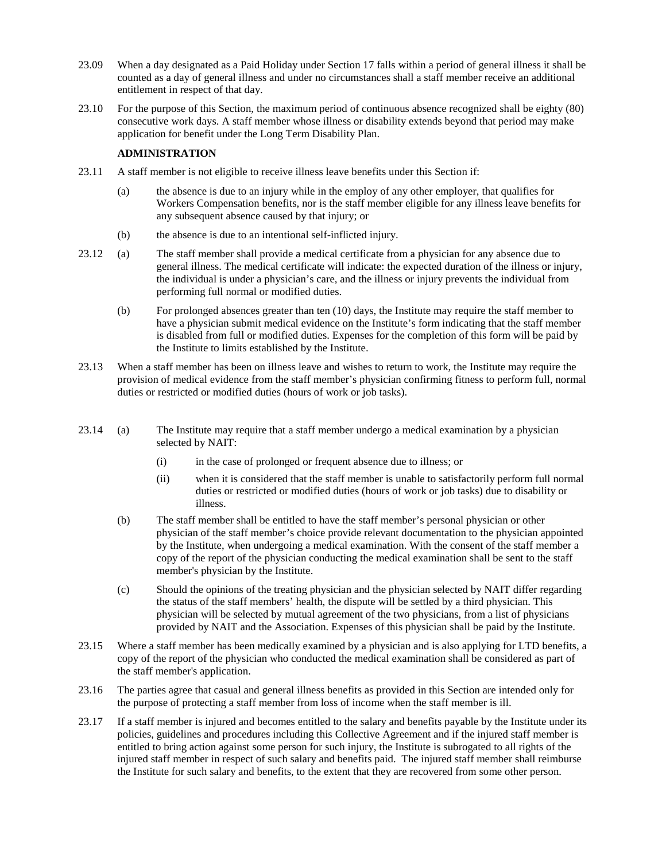- 23.09 When a day designated as a Paid Holiday under Section 17 falls within a period of general illness it shall be counted as a day of general illness and under no circumstances shall a staff member receive an additional entitlement in respect of that day.
- 23.10 For the purpose of this Section, the maximum period of continuous absence recognized shall be eighty (80) consecutive work days. A staff member whose illness or disability extends beyond that period may make application for benefit under the Long Term Disability Plan.

## **ADMINISTRATION**

- 23.11 A staff member is not eligible to receive illness leave benefits under this Section if:
	- (a) the absence is due to an injury while in the employ of any other employer, that qualifies for Workers Compensation benefits, nor is the staff member eligible for any illness leave benefits for any subsequent absence caused by that injury; or
	- (b) the absence is due to an intentional self-inflicted injury.
- 23.12 (a) The staff member shall provide a medical certificate from a physician for any absence due to general illness. The medical certificate will indicate: the expected duration of the illness or injury, the individual is under a physician's care, and the illness or injury prevents the individual from performing full normal or modified duties.
	- (b) For prolonged absences greater than ten (10) days, the Institute may require the staff member to have a physician submit medical evidence on the Institute's form indicating that the staff member is disabled from full or modified duties. Expenses for the completion of this form will be paid by the Institute to limits established by the Institute.
- 23.13 When a staff member has been on illness leave and wishes to return to work, the Institute may require the provision of medical evidence from the staff member's physician confirming fitness to perform full, normal duties or restricted or modified duties (hours of work or job tasks).
- 23.14 (a) The Institute may require that a staff member undergo a medical examination by a physician selected by NAIT:
	- (i) in the case of prolonged or frequent absence due to illness; or
	- (ii) when it is considered that the staff member is unable to satisfactorily perform full normal duties or restricted or modified duties (hours of work or job tasks) due to disability or illness.
	- (b) The staff member shall be entitled to have the staff member's personal physician or other physician of the staff member's choice provide relevant documentation to the physician appointed by the Institute, when undergoing a medical examination. With the consent of the staff member a copy of the report of the physician conducting the medical examination shall be sent to the staff member's physician by the Institute.
	- (c) Should the opinions of the treating physician and the physician selected by NAIT differ regarding the status of the staff members' health, the dispute will be settled by a third physician. This physician will be selected by mutual agreement of the two physicians, from a list of physicians provided by NAIT and the Association. Expenses of this physician shall be paid by the Institute.
- 23.15 Where a staff member has been medically examined by a physician and is also applying for LTD benefits, a copy of the report of the physician who conducted the medical examination shall be considered as part of the staff member's application.
- 23.16 The parties agree that casual and general illness benefits as provided in this Section are intended only for the purpose of protecting a staff member from loss of income when the staff member is ill.
- 23.17 If a staff member is injured and becomes entitled to the salary and benefits payable by the Institute under its policies, guidelines and procedures including this Collective Agreement and if the injured staff member is entitled to bring action against some person for such injury, the Institute is subrogated to all rights of the injured staff member in respect of such salary and benefits paid. The injured staff member shall reimburse the Institute for such salary and benefits, to the extent that they are recovered from some other person.